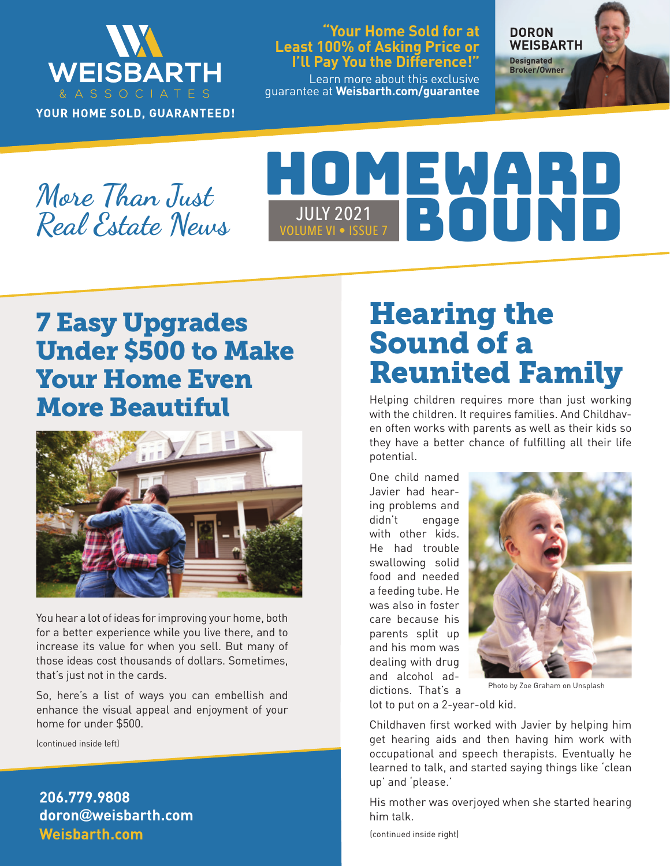

YOUR HOME SOLD, GUARANTEED!

#### **"Your Home Sold for at Least 100% of Asking Price or I'll Pay You the Difference!"**

Learn more about this exclusive guarantee at **Weisbarth.com/guarantee** **DORON WEISBARTH Designated** 

**Broker/Owner**

**More Than Just Real Estate News**

# HOMEWARD **JULY 2021** JULY 2021<br>LUME VI • ISSUE 7

## 7 Easy Upgrades Under \$500 to Make Your Home Even More Beautiful



You hear a lot of ideas for improving your home, both for a better experience while you live there, and to increase its value for when you sell. But many of those ideas cost thousands of dollars. Sometimes, that's just not in the cards.

So, here's a list of ways you can embellish and enhance the visual appeal and enjoyment of your home for under \$500.

(continued inside left)

**Weisbarth.com 206.779.9808 doron@weisbarth.com**

# Hearing the Sound of a Reunited Family

Helping children requires more than just working with the children. It requires families. And Childhaven often works with parents as well as their kids so they have a better chance of fulfilling all their life potential.

One child named Javier had hearing problems and didn't engage with other kids. He had trouble swallowing solid food and needed a feeding tube. He was also in foster care because his parents split up and his mom was dealing with drug and alcohol addictions. That's a



Photo by Zoe Graham on Unsplash

lot to put on a 2-year-old kid.

Childhaven first worked with Javier by helping him get hearing aids and then having him work with occupational and speech therapists. Eventually he learned to talk, and started saying things like 'clean up' and 'please.'

His mother was overjoyed when she started hearing him talk.

(continued inside right)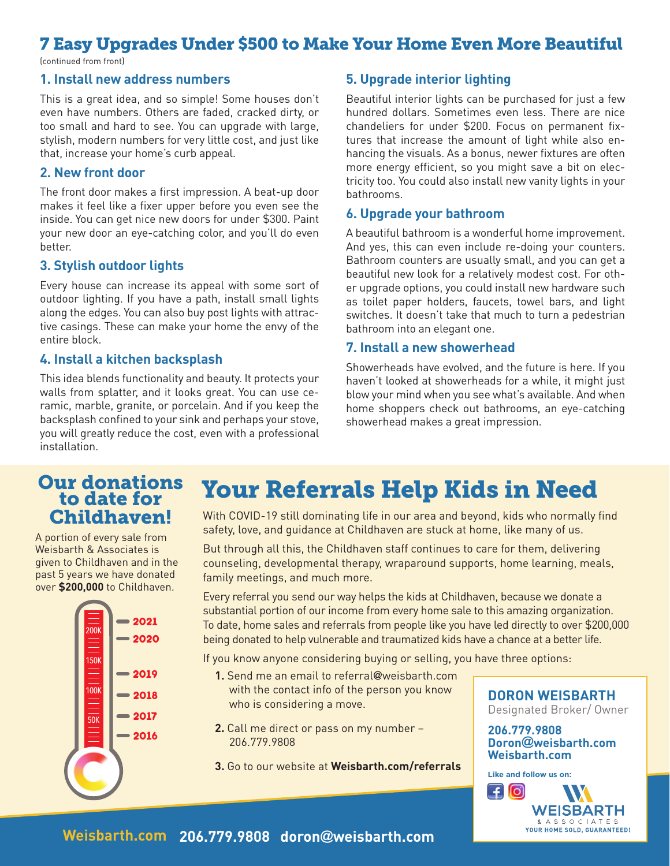## 7 Easy Upgrades Under \$500 to Make Your Home Even More Beautiful

(continued from front)

#### **1. Install new address numbers**

This is a great idea, and so simple! Some houses don't even have numbers. Others are faded, cracked dirty, or too small and hard to see. You can upgrade with large, stylish, modern numbers for very little cost, and just like that, increase your home's curb appeal.

#### **2. New front door**

The front door makes a first impression. A beat-up door makes it feel like a fixer upper before you even see the inside. You can get nice new doors for under \$300. Paint your new door an eye-catching color, and you'll do even better.

#### **3. Stylish outdoor lights**

Every house can increase its appeal with some sort of outdoor lighting. If you have a path, install small lights along the edges. You can also buy post lights with attractive casings. These can make your home the envy of the entire block.

#### **4. Install a kitchen backsplash**

This idea blends functionality and beauty. It protects your walls from splatter, and it looks great. You can use ceramic, marble, granite, or porcelain. And if you keep the backsplash confined to your sink and perhaps your stove, you will greatly reduce the cost, even with a professional installation.

#### **5. Upgrade interior lighting**

Beautiful interior lights can be purchased for just a few hundred dollars. Sometimes even less. There are nice chandeliers for under \$200. Focus on permanent fixtures that increase the amount of light while also enhancing the visuals. As a bonus, newer fixtures are often more energy efficient, so you might save a bit on electricity too. You could also install new vanity lights in your bathrooms.

#### **6. Upgrade your bathroom**

A beautiful bathroom is a wonderful home improvement. And yes, this can even include re-doing your counters. Bathroom counters are usually small, and you can get a beautiful new look for a relatively modest cost. For other upgrade options, you could install new hardware such as toilet paper holders, faucets, towel bars, and light switches. It doesn't take that much to turn a pedestrian bathroom into an elegant one.

#### **7. Install a new showerhead**

Showerheads have evolved, and the future is here. If you haven't looked at showerheads for a while, it might just blow your mind when you see what's available. And when home shoppers check out bathrooms, an eye-catching showerhead makes a great impression.

### Our donations Your Referrals Help Kids in Need to date for Childhaven!

A portion of every sale from Weisbarth & Associates is given to Childhaven and in the past 5 years we have donated over **\$200,000** to Childhaven.



With COVID-19 still dominating life in our area and beyond, kids who normally find safety, love, and guidance at Childhaven are stuck at home, like many of us.

But through all this, the Childhaven staff continues to care for them, delivering counseling, developmental therapy, wraparound supports, home learning, meals, family meetings, and much more.

Every referral you send our way helps the kids at Childhaven, because we donate a substantial portion of our income from every home sale to this amazing organization. To date, home sales and referrals from people like you have led directly to over \$200,000 being donated to help vulnerable and traumatized kids have a chance at a better life.

If you know anyone considering buying or selling, you have three options:

- **1.** Send me an email to referral@weisbarth.com with the contact info of the person you know who is considering a move.
- **2.** Call me direct or pass on my number 206.779.9808
- **3.** Go to our website at **Weisbarth.com/referrals**

#### **DORON WEISBARTH** Designated Broker/ Owner

**206.779.9808 Doron@weisbarth.com Weisbarth.com**

**Like and follow us on: WEISBARTH** & A S S O C I A T E S<br>YOUR HOME SOLD, GUARANTEED!

**Weisbarth.com 206.779.9808 doron@weisbarth.com**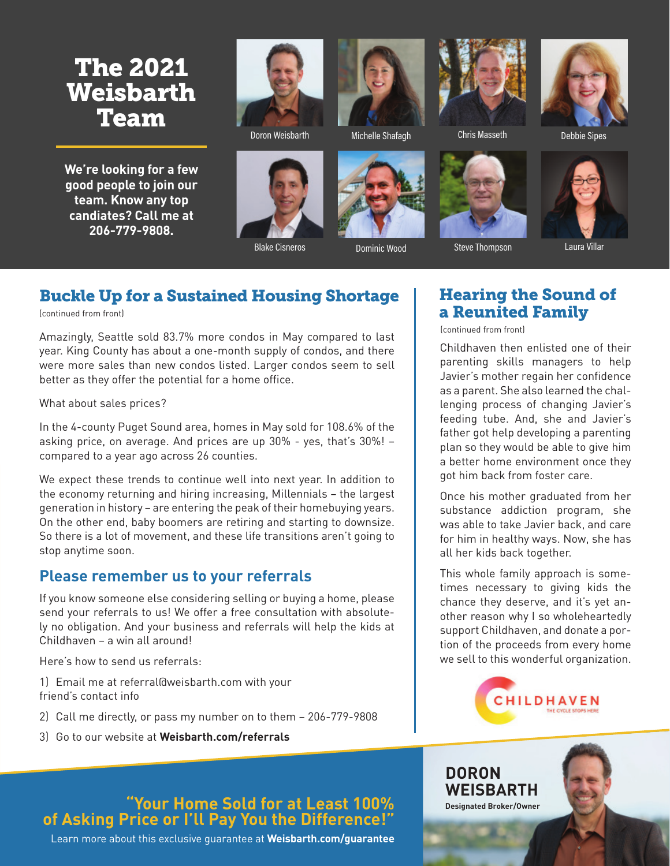## The 2021 Weisbarth Team

**We're looking for a few good people to join our team. Know any top candiates? Call me at 206-779-9808.**



Doron Weisbarth Michelle Shafagh







Chris Masseth Debbie Sipes



Blake Cisneros **Dominic Wood** Steve Thompson Laura Villar

## Buckle Up for a Sustained Housing Shortage

(continued from front)

Amazingly, Seattle sold 83.7% more condos in May compared to last year. King County has about a one-month supply of condos, and there were more sales than new condos listed. Larger condos seem to sell better as they offer the potential for a home office.

#### What about sales prices?

In the 4-county Puget Sound area, homes in May sold for 108.6% of the asking price, on average. And prices are up 30% - yes, that's 30%! – compared to a year ago across 26 counties.

We expect these trends to continue well into next year. In addition to the economy returning and hiring increasing, Millennials – the largest generation in history – are entering the peak of their homebuying years. On the other end, baby boomers are retiring and starting to downsize. So there is a lot of movement, and these life transitions aren't going to stop anytime soon.

### **Please remember us to your referrals**

If you know someone else considering selling or buying a home, please send your referrals to us! We offer a free consultation with absolutely no obligation. And your business and referrals will help the kids at Childhaven – a win all around!

Here's how to send us referrals:

- 1) Email me at referral@weisbarth.com with your friend's contact info
- 2) Call me directly, or pass my number on to them 206-779-9808
- 3) Go to our website at **Weisbarth.com/referrals**

### **"Your Home Sold for at Least 100% of Asking Price or I'll Pay You the Difference!"**

Learn more about this exclusive guarantee at **Weisbarth.com/guarantee**

## Hearing the Sound of a Reunited Family

(continued from front)

Childhaven then enlisted one of their parenting skills managers to help Javier's mother regain her confidence as a parent. She also learned the challenging process of changing Javier's feeding tube. And, she and Javier's father got help developing a parenting plan so they would be able to give him a better home environment once they got him back from foster care.

Once his mother graduated from her substance addiction program, she was able to take Javier back, and care for him in healthy ways. Now, she has all her kids back together.

This whole family approach is sometimes necessary to giving kids the chance they deserve, and it's yet another reason why I so wholeheartedly support Childhaven, and donate a portion of the proceeds from every home we sell to this wonderful organization.



#### **DORON WEISBARTH Designated Broker/Owner**